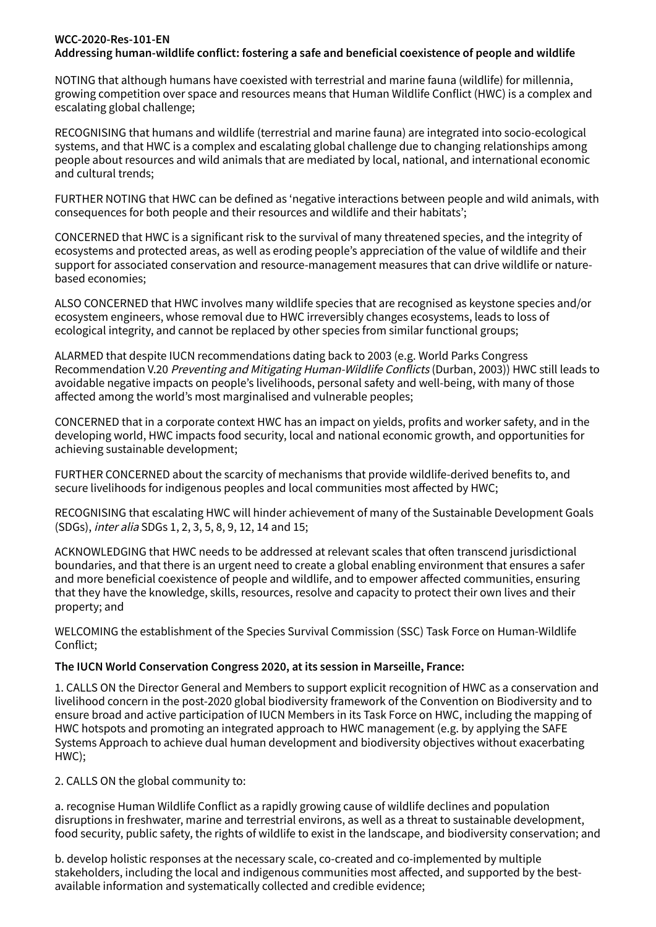## **WCC-2020-Res-101-EN Addressing human-wildlife conflict: fostering a safe and beneficial coexistence of people and wildlife**

NOTING that although humans have coexisted with terrestrial and marine fauna (wildlife) for millennia, growing competition over space and resources means that Human Wildlife Conflict (HWC) is a complex and escalating global challenge;

RECOGNISING that humans and wildlife (terrestrial and marine fauna) are integrated into socio-ecological systems, and that HWC is a complex and escalating global challenge due to changing relationships among people about resources and wild animals that are mediated by local, national, and international economic and cultural trends;

FURTHER NOTING that HWC can be defined as 'negative interactions between people and wild animals, with consequences for both people and their resources and wildlife and their habitats';

CONCERNED that HWC is a significant risk to the survival of many threatened species, and the integrity of ecosystems and protected areas, as well as eroding people's appreciation of the value of wildlife and their support for associated conservation and resource-management measures that can drive wildlife or naturebased economies;

ALSO CONCERNED that HWC involves many wildlife species that are recognised as keystone species and/or ecosystem engineers, whose removal due to HWC irreversibly changes ecosystems, leads to loss of ecological integrity, and cannot be replaced by other species from similar functional groups;

ALARMED that despite IUCN recommendations dating back to 2003 (e.g. World Parks Congress Recommendation V.20 Preventing and Mitigating Human-Wildlife Conflicts (Durban, 2003)) HWC still leads to avoidable negative impacts on people's livelihoods, personal safety and well-being, with many of those affected among the world's most marginalised and vulnerable peoples;

CONCERNED that in a corporate context HWC has an impact on yields, profits and worker safety, and in the developing world, HWC impacts food security, local and national economic growth, and opportunities for achieving sustainable development;

FURTHER CONCERNED about the scarcity of mechanisms that provide wildlife-derived benefits to, and secure livelihoods for indigenous peoples and local communities most affected by HWC;

RECOGNISING that escalating HWC will hinder achievement of many of the Sustainable Development Goals (SDGs), inter alia SDGs 1, 2, 3, 5, 8, 9, 12, 14 and 15;

ACKNOWLEDGING that HWC needs to be addressed at relevant scales that often transcend jurisdictional boundaries, and that there is an urgent need to create a global enabling environment that ensures a safer and more beneficial coexistence of people and wildlife, and to empower affected communities, ensuring that they have the knowledge, skills, resources, resolve and capacity to protect their own lives and their property; and

WELCOMING the establishment of the Species Survival Commission (SSC) Task Force on Human-Wildlife Conflict;

## **The IUCN World Conservation Congress 2020, at its session in Marseille, France:**

1. CALLS ON the Director General and Members to support explicit recognition of HWC as a conservation and livelihood concern in the post-2020 global biodiversity framework of the Convention on Biodiversity and to ensure broad and active participation of IUCN Members in its Task Force on HWC, including the mapping of HWC hotspots and promoting an integrated approach to HWC management (e.g. by applying the SAFE Systems Approach to achieve dual human development and biodiversity objectives without exacerbating HWC);

2. CALLS ON the global community to:

a. recognise Human Wildlife Conflict as a rapidly growing cause of wildlife declines and population disruptions in freshwater, marine and terrestrial environs, as well as a threat to sustainable development, food security, public safety, the rights of wildlife to exist in the landscape, and biodiversity conservation; and

b. develop holistic responses at the necessary scale, co-created and co-implemented by multiple stakeholders, including the local and indigenous communities most affected, and supported by the bestavailable information and systematically collected and credible evidence;